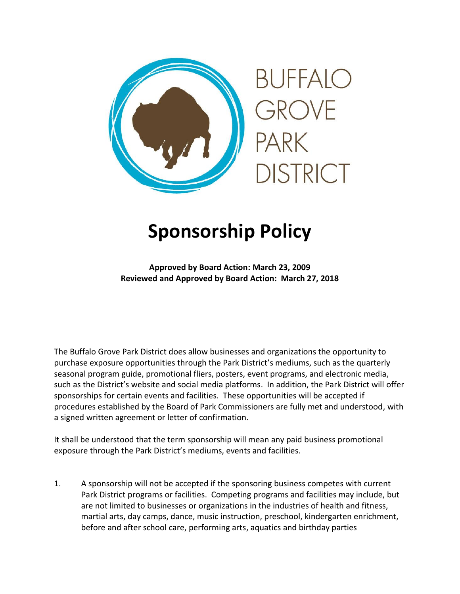

## **Sponsorship Policy**

**Approved by Board Action: March 23, 2009 Reviewed and Approved by Board Action: March 27, 2018**

The Buffalo Grove Park District does allow businesses and organizations the opportunity to purchase exposure opportunities through the Park District's mediums, such as the quarterly seasonal program guide, promotional fliers, posters, event programs, and electronic media, such as the District's website and social media platforms. In addition, the Park District will offer sponsorships for certain events and facilities. These opportunities will be accepted if procedures established by the Board of Park Commissioners are fully met and understood, with a signed written agreement or letter of confirmation.

It shall be understood that the term sponsorship will mean any paid business promotional exposure through the Park District's mediums, events and facilities.

1. A sponsorship will not be accepted if the sponsoring business competes with current Park District programs or facilities. Competing programs and facilities may include, but are not limited to businesses or organizations in the industries of health and fitness, martial arts, day camps, dance, music instruction, preschool, kindergarten enrichment, before and after school care, performing arts, aquatics and birthday parties